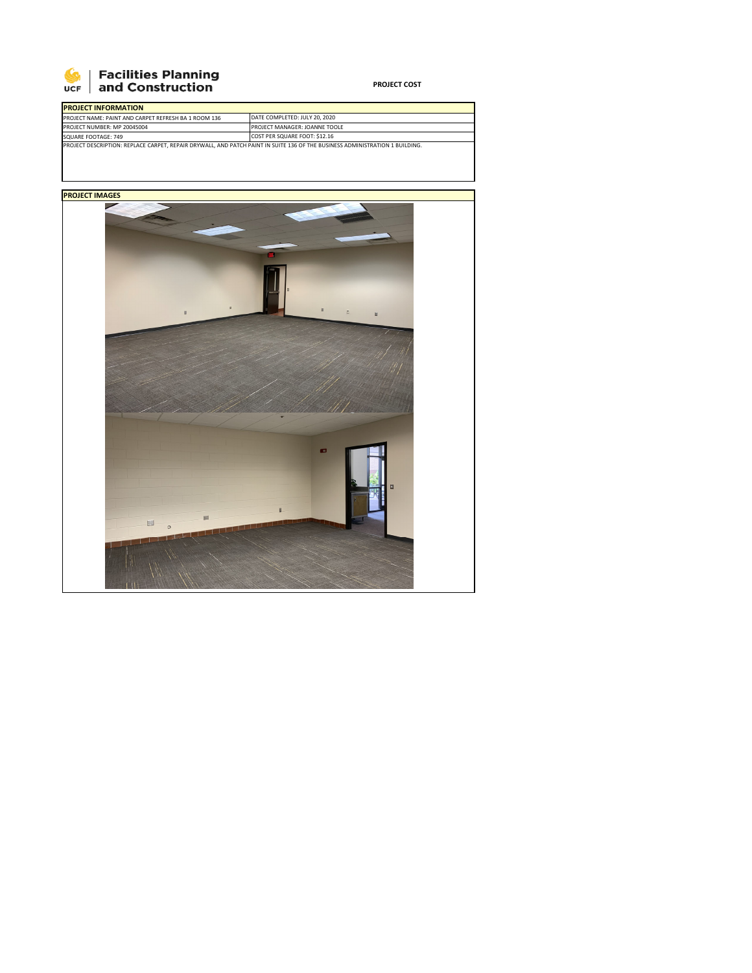

## **SEPTE Planning**<br>UCF and Construction

**PROJECT COST**

| <b>PROJECT INFORMATION</b>                                                                                                   |                                      |  |  |  |
|------------------------------------------------------------------------------------------------------------------------------|--------------------------------------|--|--|--|
| PROJECT NAME: PAINT AND CARPET REFRESH BA 1 ROOM 136                                                                         | DATE COMPLETED: JULY 20, 2020        |  |  |  |
| PROJECT NUMBER: MP 20045004                                                                                                  | <b>PROJECT MANAGER: JOANNE TOOLE</b> |  |  |  |
| SQUARE FOOTAGE: 749                                                                                                          | COST PER SQUARE FOOT: \$12.16        |  |  |  |
| PROJECT DESCRIPTION: REPLACE CARPET, REPAIR DRYWALL, AND PATCH PAINT IN SUITE 136 OF THE BUSINESS ADMINISTRATION 1 BUILDING. |                                      |  |  |  |

**PROJECT IMAGES**